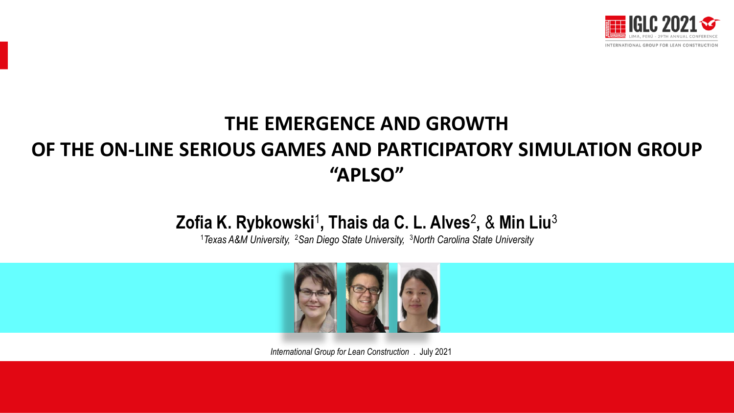

### **THE EMERGENCE AND GROWTH OF THE ON-LINE SERIOUS GAMES AND PARTICIPATORY SIMULATION GROUP "APLSO"**

### **Zofia K. Rybkowski**<sup>1</sup> **, Thais da C. L. Alves**<sup>2</sup> **,** & **Min Liu**<sup>3</sup>

<sup>1</sup>*Texas A&M University,* <sup>2</sup>*San Diego State University,* <sup>3</sup>*North Carolina State University*



*International Group for Lean Construction* . July 2021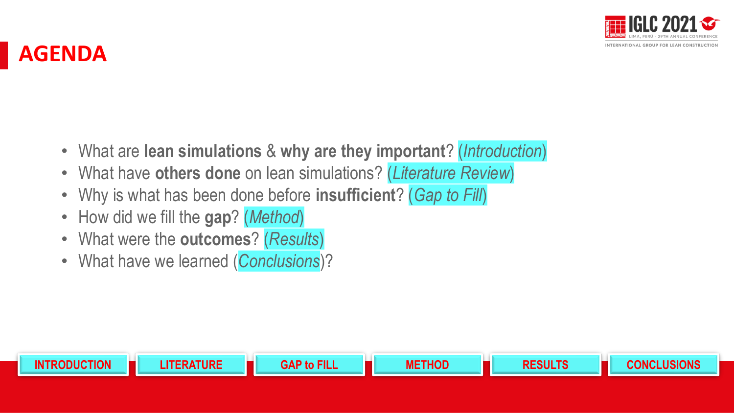

### **AGENDA**

• What are **lean simulations** & **why are they important**? (*Introduction*)

**INTRODUCTION LITERATURE GAP to FILL METHOD RESULTS CONCLUSIONS**

- What have **others done** on lean simulations? (*Literature Review*)
- Why is what has been done before **insufficient**? (*Gap to Fill*)
- How did we fill the **gap**? (*Method*)
- What were the **outcomes**? (*Results*)
- What have we learned (*Conclusions*)?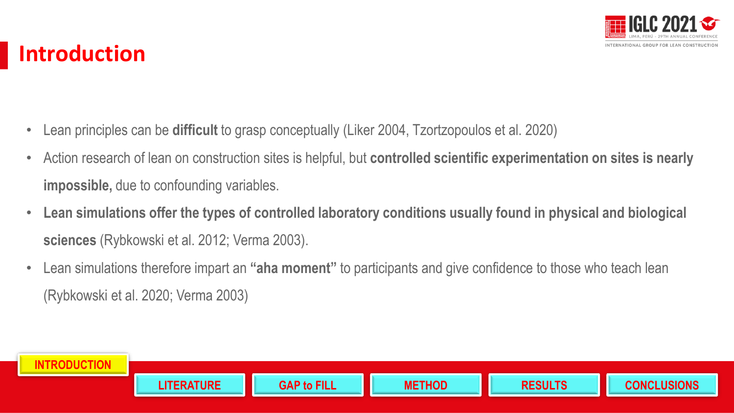

# **Introduction**

- Lean principles can be **difficult** to grasp conceptually (Liker 2004, Tzortzopoulos et al. 2020)
- Action research of lean on construction sites is helpful, but **controlled scientific experimentation on sites is nearly impossible,** due to confounding variables.
- **Lean simulations offer the types of controlled laboratory conditions usually found in physical and biological sciences** (Rybkowski et al. 2012; Verma 2003).
- Lean simulations therefore impart an **"aha moment"** to participants and give confidence to those who teach lean (Rybkowski et al. 2020; Verma 2003)

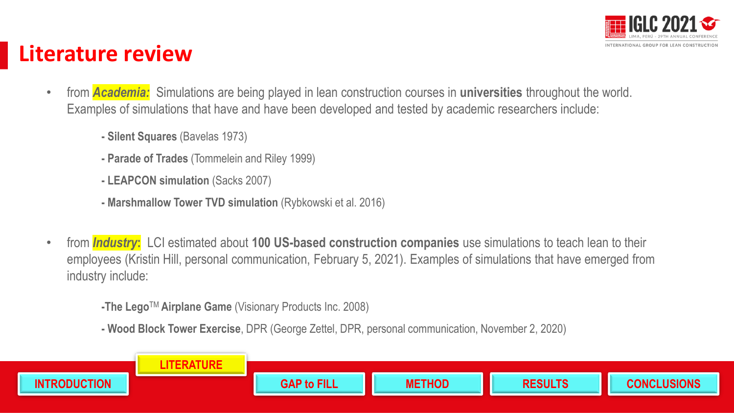

## **Literature review**

- from *Academia:* Simulations are being played in lean construction courses in **universities** throughout the world. Examples of simulations that have and have been developed and tested by academic researchers include:
	- **- Silent Squares** (Bavelas 1973)
	- **- Parade of Trades** (Tommelein and Riley 1999)
	- **- LEAPCON simulation** (Sacks 2007)
	- **- Marshmallow Tower TVD simulation** (Rybkowski et al. 2016)
- from *Industry***:** LCI estimated about **100 US-based construction companies** use simulations to teach lean to their employees (Kristin Hill, personal communication, February 5, 2021). Examples of simulations that have emerged from industry include:
	- **-The Lego**TM **Airplane Game** (Visionary Products Inc. 2008)
	- **- Wood Block Tower Exercise**, DPR (George Zettel, DPR, personal communication, November 2, 2020)

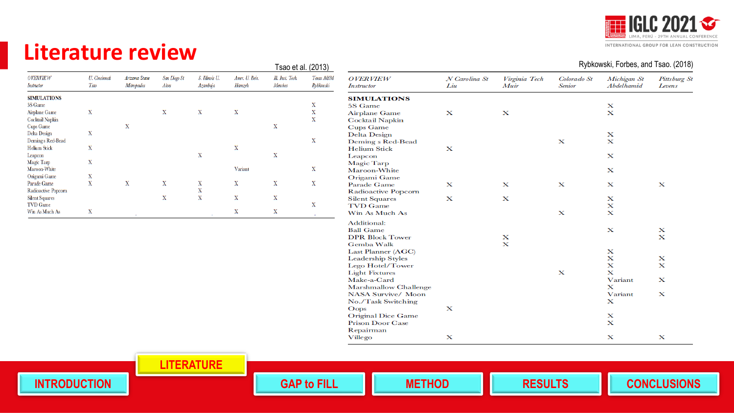

### **Literature review**

|                               |                         |                              |                       |                           |                          | i sau et al. (2010)         |                         |
|-------------------------------|-------------------------|------------------------------|-----------------------|---------------------------|--------------------------|-----------------------------|-------------------------|
| <b>OVERVIEW</b><br>Instructor | U. Cincinnati<br>Tsao   | Arizona State<br>Mitropoulos | San Diego St<br>Alves | S. Ilhnois U.<br>Azambuja | Amer. U. Beir.<br>Hamzeh | Ill. Inst. Tech.<br>Menches | Texas AGM<br>Ry bhowski |
| <b>SIMULATIONS</b>            |                         |                              |                       |                           |                          |                             |                         |
| 5S Game                       |                         |                              |                       |                           |                          |                             | x                       |
| Airplane Game                 | $\mathbf x$             |                              | X                     | x                         | $\mathbf x$              |                             | x                       |
| <b>Cocktail Napkin</b>        |                         |                              |                       |                           |                          |                             | x                       |
| Cups Game                     |                         | $\mathbf x$                  |                       |                           |                          | x                           |                         |
| Delta Design                  | X                       |                              |                       |                           |                          |                             |                         |
| Demings Red-Bead              |                         |                              |                       |                           |                          |                             | $\mathbf x$             |
| <b>Helium Stick</b>           | $\overline{\textbf{X}}$ |                              |                       |                           | $\mathbf x$              |                             |                         |
| Leapcon                       |                         |                              |                       | $\overline{\text{X}}$     |                          | x                           |                         |
| Magic Tarp                    | $\overline{\textbf{X}}$ |                              |                       |                           |                          |                             |                         |
| Maroon-White                  |                         |                              |                       |                           | Variant                  |                             | $\mathbf x$             |
| Origami Game                  | x                       |                              |                       |                           |                          |                             |                         |
| Parade Game                   | $\overline{\textbf{X}}$ | X                            | $\overline{\text{X}}$ | x                         | X                        | x                           | $\mathbf x$             |
| Radioactive Popcorn           |                         |                              |                       | $\overline{\textbf{X}}$   |                          |                             |                         |
| <b>Silent Squares</b>         |                         |                              | x                     | $\overline{\textbf{X}}$   | $\mathbf x$              | X                           |                         |
| TVD Game                      |                         |                              |                       |                           |                          |                             | X                       |
| Win As Much As                | X                       |                              |                       | $\sim$                    | x                        | X                           | $\sim$                  |
|                               |                         | ٠                            |                       |                           |                          |                             |                         |

| Tsao et al. (2013)          |                         |                                      |                      |                       |                              | Rybkowski, Forbes, and Tsao. (2018) |                        |
|-----------------------------|-------------------------|--------------------------------------|----------------------|-----------------------|------------------------------|-------------------------------------|------------------------|
| Ill. Inst. Tech.<br>Menches | Texas AGM<br>Ry bhowski | <b>OVERVIEW</b><br><b>Instructor</b> | N Carolina St<br>Liu | Virginia Tech<br>Muir | Colorado St<br><b>Senior</b> | Michigan St<br>Abdelhamid           | Pittsburg St<br>Levens |
|                             |                         | <b>SIMULATIONS</b>                   |                      |                       |                              |                                     |                        |
|                             | x                       | 5S Game                              |                      |                       |                              | X                                   |                        |
|                             | $\mathbf X$             | <b>Airplane Game</b>                 | х                    | $\mathbf x$           |                              | $\bf{x}$                            |                        |
|                             | X                       | <b>Cocktail Napkin</b>               |                      |                       |                              |                                     |                        |
| X                           |                         | <b>Cups Game</b>                     |                      |                       |                              |                                     |                        |
|                             |                         | <b>Delta Design</b>                  |                      |                       |                              | х                                   |                        |
|                             | X                       | Deming s Red-Bead                    |                      |                       | х                            | $\mathbf x$                         |                        |
|                             |                         | <b>Helium Stick</b>                  | x                    |                       |                              |                                     |                        |
| $\mathbf x$                 |                         | Leapcon                              |                      |                       |                              | x                                   |                        |
|                             |                         | Magic Tarp                           |                      |                       |                              |                                     |                        |
|                             | X                       | Maroon-White                         |                      |                       |                              | x                                   |                        |
|                             |                         | Origami Game                         |                      |                       |                              |                                     |                        |
| X                           | x                       | Parade Game                          | х                    | $\bf{x}$              | х                            | x                                   | x                      |
|                             |                         | Radioactive Popcorn                  |                      |                       |                              |                                     |                        |
| X                           |                         | <b>Silent Squares</b>                | х                    | х                     |                              | x                                   |                        |
|                             | X                       | <b>TVD</b> Game                      |                      |                       |                              | x                                   |                        |
| X                           |                         | Win As Much As                       |                      |                       | x                            | $\bf{x}$                            |                        |
|                             |                         | <b>Additional:</b>                   |                      |                       |                              |                                     |                        |
|                             |                         | <b>Ball Game</b>                     |                      |                       |                              | $\bf{x}$                            | x                      |
|                             |                         | <b>DPR Block Tower</b>               |                      | х                     |                              |                                     | $\mathbf x$            |
|                             |                         | Gemba Walk                           |                      | $\mathbf x$           |                              |                                     |                        |
|                             |                         | Last Planner (AGC)                   |                      |                       |                              | $\bf x$                             |                        |
|                             |                         | <b>Leadership Styles</b>             |                      |                       |                              | x                                   | x                      |
|                             |                         | Lego Hotel/Tower                     |                      |                       |                              | $\bf{x}$                            | х                      |
|                             |                         | <b>Light Fixtures</b>                |                      |                       | $\bf{x}$                     | $\bf{x}$                            |                        |
|                             |                         | Make-a-Card                          |                      |                       |                              | Variant                             | х                      |
|                             |                         | Marshmallow Challenge                |                      |                       |                              | $\bf{x}$                            |                        |
|                             |                         | <b>NASA Survive/ Moon</b>            |                      |                       |                              | Variant                             | x                      |
|                             |                         | No./Task Switching                   |                      |                       |                              | x                                   |                        |
|                             |                         | $O$ ops                              | x                    |                       |                              |                                     |                        |
|                             |                         | <b>Original Dice Game</b>            |                      |                       |                              | x                                   |                        |
|                             |                         | <b>Prison Door Case</b>              |                      |                       |                              | $\bf{x}$                            |                        |
|                             |                         | Repairman                            |                      |                       |                              |                                     |                        |
|                             |                         | Villego                              | х                    |                       |                              | x                                   | x                      |

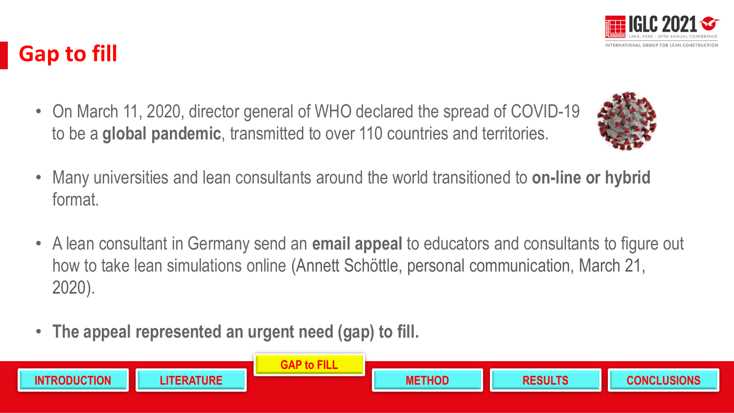

- Many universities and lean consultants around the world transitioned to **on-line or hybrid**  format.
- A lean consultant in Germany send an **email appeal** to educators and consultants to figure out
- how to take lean simulations online (Annett Schöttle, personal communication, March 21, 2020).
- **The appeal represented an urgent need (gap) to fill.**





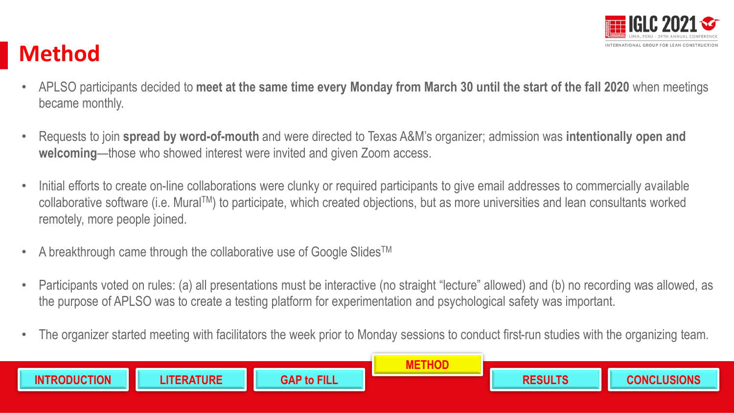

# **Method**

- APLSO participants decided to **meet at the same time every Monday from March 30 until the start of the fall 2020** when meetings became monthly.
- Requests to join **spread by word-of-mouth** and were directed to Texas A&M's organizer; admission was **intentionally open and welcoming**—those who showed interest were invited and given Zoom access.
- Initial efforts to create on-line collaborations were clunky or required participants to give email addresses to commercially available collaborative software (i.e. MuralTM) to participate, which created objections, but as more universities and lean consultants worked remotely, more people joined.
- A breakthrough came through the collaborative use of Google Slides<sup>TM</sup>
- Participants voted on rules: (a) all presentations must be interactive (no straight "lecture" allowed) and (b) no recording was allowed, as the purpose of APLSO was to create a testing platform for experimentation and psychological safety was important.
- The organizer started meeting with facilitators the week prior to Monday sessions to conduct first-run studies with the organizing team.

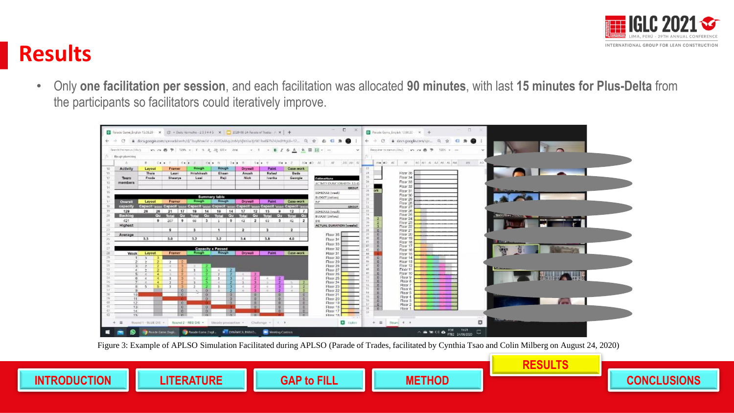

### **Results**

• Only **one facilitation per session**, and each facilitation was allocated **90 minutes**, with last **15 minutes for Plus-Delta** from the participants so facilitators could iteratively improve.



Figure 3: Example of APLSO Simulation Facilitated during APLSO (Parade of Trades, facilitated by Cynthia Tsao and Colin Milberg on August 24, 2020)



**RESULTS**

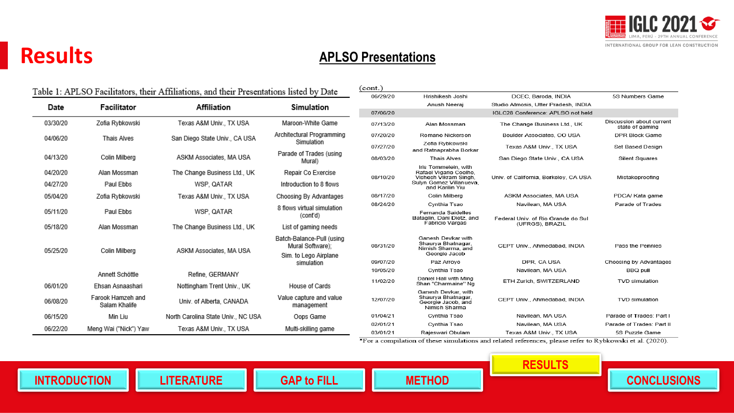

### **Results**

### **APLSO Presentations**

|                                   |                                    | Table 1: APLSO Facilitators, their Affiliations, and their Presentations listed by Date |                                               | $($ cont. $)$          |                                                                                  |                                       |                                             |
|-----------------------------------|------------------------------------|-----------------------------------------------------------------------------------------|-----------------------------------------------|------------------------|----------------------------------------------------------------------------------|---------------------------------------|---------------------------------------------|
|                                   |                                    |                                                                                         | 06/29/20                                      | Hrishikesh Joshi       | DCEC, Baroda, INDIA                                                              | 5S Numbers Game                       |                                             |
| Date                              | Facilitator                        | <b>Affiliation</b>                                                                      | <b>Simulation</b>                             |                        | Anush Neeraj                                                                     | Studio Atmosis, Utter Pradesh, INDIA  |                                             |
|                                   |                                    |                                                                                         |                                               | 07/06/20               |                                                                                  | IGLC28 Conference: APLSO not held     |                                             |
| 03/30/20                          | Zofia Rybkowski                    | Texas A&M Univ., TX USA                                                                 | Maroon-White Game                             | 07/13/20               | Alan Mossman                                                                     | The Change Business Ltd., UK          | Discussion about current<br>state of gaming |
| 04/06/20                          | Thais Alves                        | San Diego State Univ., CA USA                                                           | Architectural Programming                     | 07/20/20               | Romano Nickerson                                                                 | Boulder Associates, CO USA            | DPR Block Game                              |
|                                   |                                    |                                                                                         | Simulation                                    | 07/27/20               | Zofia Rybkowski<br>and Ratnaprabha Borkar                                        | Texas A&M Univ., TX USA               | Set Based Design                            |
| 04/13/20                          | Colin Milberg                      | ASKM Associates, MA USA                                                                 | Parade of Trades (using                       | 08/03/20               | Thais Alves                                                                      | San Diego State Univ., CA USA         | <b>Silent Squares</b>                       |
|                                   |                                    |                                                                                         | Mural)                                        |                        | Iris Tommelein, with                                                             |                                       |                                             |
| 04/20/20                          | Alan Mossman                       | The Change Business Ltd., UK                                                            | Repair Co Exercise                            | 08/10/20               | Rafael Vigario Coelho.<br>Vishesh Vikram Singh.                                  | Univ. of California, Berkeley, CA USA | Mistakeproofing                             |
| 04/27/20                          | Paul Ebbs                          | WSP. QATAR                                                                              | Introduction to 8 flows                       |                        | Sulyn Gomez Villanueva,<br>and Karilin Yiu                                       |                                       |                                             |
| 05/04/20                          | Zofia Rybkowski                    | Texas A&M Univ., TX USA                                                                 | Choosing By Advantages                        | 08/17/20               | Colin Milberg                                                                    | ASKM Associates. MA USA               | PDCA/ Kata game                             |
|                                   |                                    |                                                                                         | 8 flows virtual simulation                    | 08/24/20               | Cynthia Tsao                                                                     | Navilean, MA USA                      | Parade of Trades                            |
| 05/11/20                          | Paul Ebbs                          | WSP, QATAR                                                                              | (cont'd)                                      |                        | Fernanda Saidelles<br>Bataglin, Dani Dietz, and                                  | Federal Univ. of Rio Grande do Sul    |                                             |
| 05/18/20                          | Alan Mossman                       | The Change Business Ltd., UK                                                            | List of gaming needs                          |                        | Fabricio Vargas                                                                  | (UFRGS), BRAZIL                       |                                             |
|                                   |                                    |                                                                                         | Batch-Balance-Pull (using<br>Mural Software): | 08/31/20               | Ganesh Devkar with<br>Shaurya Bhatnagar,                                         | CEPT Univ., Ahmedabad, INDIA          | Pass the Pennies                            |
| 05/25/20                          | Colin Milbera                      | ASKM Associates, MA USA                                                                 |                                               |                        | Nimish Sharma, and<br>Georgie Jacob                                              |                                       |                                             |
|                                   |                                    |                                                                                         | Sim. to Lego Airplane<br>simulation           | 09/07/20<br>Paz Arroyo |                                                                                  | DPR. CA USA                           | Choosing by Advantages                      |
|                                   |                                    |                                                                                         |                                               | 10/05/20               | Cynthia Tsao                                                                     | Navilean, MA USA                      | <b>BBQ pull</b>                             |
|                                   | Annett Schöttle                    | Refine, GERMANY                                                                         |                                               | 11/02/20               | Daniel Hall with Ming                                                            | ETH Zurich, SWITZERLAND               | <b>TVD</b> simulation                       |
| 06/01/20                          | Ehsan Asnaashari                   | Nottingham Trent Univ., UK                                                              | House of Cards                                |                        | Shan "Charmaine" Ng                                                              |                                       |                                             |
| 06/08/20                          | Farook Hamzeh and<br>Salam Khalife | Univ. of Alberta, CANADA                                                                | Value capture and value<br>management         | 12/07/20               | Ganesh Devkar, with<br>Shaurya Bhatnagar,<br>Georgie Jacob, and<br>Nimish Sharma | CEPT Univ., Ahmedabad, INDIA          | <b>TVD</b> simulation                       |
| 06/15/20                          | Min Liu                            | North Carolina State Univ., NC USA                                                      | Oops Game                                     | 01/04/21               | Cynthia Tsao                                                                     | Navilean, MA USA                      | Parade of Trades: Part I                    |
|                                   |                                    |                                                                                         |                                               | 02/01/21               | Cynthia Tsao                                                                     | Navilean, MA USA                      | Parade of Trades: Part II                   |
| 06/22/20<br>Meng Wai ("Nick") Yaw |                                    | Texas A&M Univ., TX USA                                                                 | Multi-skilling game                           | 03/01/21               | Rajeswari Obulam                                                                 | Texas A&M Univ., TX USA               | 5S Puzzle Game                              |

\*For a compilation of these simulations and related references, please refer to Rybkowski et al. (2020).

**RESULTS**



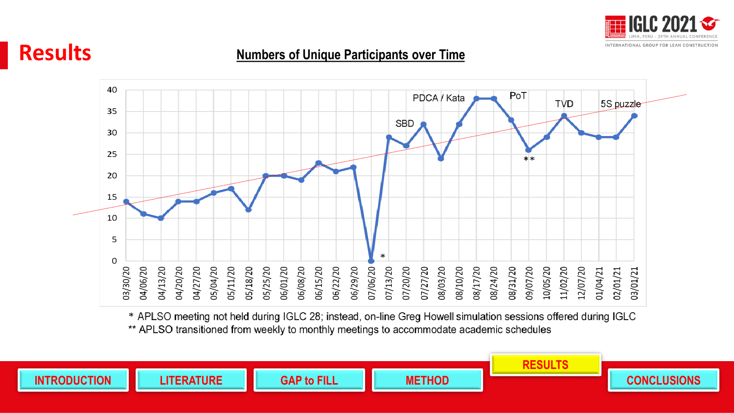



### **Numbers of Unique Participants over Time**



\* APLSO meeting not held during IGLC 28; instead, on-line Greg Howell simulation sessions offered during IGLC \*\* APLSO transitioned from weekly to monthly meetings to accommodate academic schedules

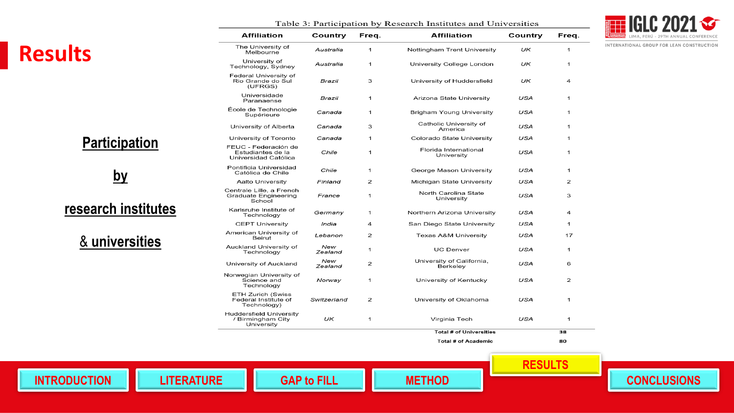### **Results**

Table 3: Participation by Research Institutes and Universities

|  | <b>T IGLC 2021</b>                  |  |
|--|-------------------------------------|--|
|  | LIMA, PERÚ - 29TH ANNUAL CONFERENCE |  |

INTERNATIONAL GROUP FOR LEAN CONSTRUCTION

|                      | <b>Affiliation</b>                                                   | Country                                                      | Freq.                      | <b>Affiliation</b>                  | Country      | Freq. |
|----------------------|----------------------------------------------------------------------|--------------------------------------------------------------|----------------------------|-------------------------------------|--------------|-------|
|                      | The University of<br>Melbourne                                       | Australia                                                    | 1                          | Nottingham Trent University         | UK           | 1     |
|                      | University of<br>Technology, Sydney                                  | University College London<br>Australia<br>1                  |                            | UK                                  | 1            |       |
|                      | Federal University of<br>Rio Grande do Sul<br>3<br>Brazil<br>(UFRGS) |                                                              | University of Huddersfield | UK                                  | 4            |       |
|                      | Universidade<br>1<br>Brazil<br>Paranaense                            |                                                              | Arizona State University   | USA                                 | 1            |       |
|                      | École de Technologie<br>Supérieure                                   | Canada                                                       | 1                          | <b>Brigham Young University</b>     | USA          | 1     |
|                      | University of Alberta                                                | Canada                                                       | 3                          | Catholic University of<br>America   | USA          | 1     |
|                      | University of Toronto                                                | Canada                                                       | 1                          | Colorado State University           | USA          | 1     |
| <b>Participation</b> | FEUC - Federación de<br>Estudiantes de la<br>Universidad Católica    | Chile                                                        | 1                          | Florida International<br>University | USA          | 1     |
|                      | Pontificia Universidad<br>Católica de Chile                          | Chile                                                        | $\mathbf{1}$               | George Mason University             | USA          | 1     |
| by                   | <b>Aalto University</b>                                              | Finland                                                      | 2                          | Michigan State University           | USA          | 2     |
|                      | Centrale Lille, a French<br><b>Graduate Engineering</b><br>School    | France                                                       | $\mathbf{1}$               | North Carolina State<br>University  | <b>USA</b>   | 3     |
| research institutes  | Karlsruhe Institute of<br>Technology                                 | Germany                                                      | $\mathbf 1$                | Northern Arizona University         | USA          | 4     |
|                      | <b>CEPT University</b>                                               | India                                                        | 4                          | San Diego State University          | USA          | 1     |
| & universities       | American University of<br><b>Beirut</b>                              | Lebanon                                                      | 2                          | <b>Texas A&amp;M University</b>     | USA          | 17    |
|                      | Auckland University of<br>Technology                                 | New<br>Zealand                                               | 1                          | <b>UC Denver</b>                    | USA          | 1     |
|                      | University of Auckland                                               | New<br>University of California,<br>2<br>Zealand<br>Berkeley |                            | USA                                 | 6            |       |
|                      | Norwegian University of<br>Science and<br>Technology                 | Norway                                                       | $\mathbf{1}$               | University of Kentucky              | USA          | 2     |
|                      | <b>ETH Zurich (Swiss</b><br>Federal Institute of<br>Technology)      | Switzerland                                                  | 2                          | University of Oklahoma              | <b>USA</b>   | 1     |
|                      | <b>Huddersfield University</b><br>/ Birmingham City<br>University    | UK<br>1<br>Virginia Tech                                     |                            | <b>USA</b>                          | $\mathbf{1}$ |       |
|                      |                                                                      |                                                              |                            | <b>Total # of Universities</b>      |              | 38    |
|                      |                                                                      |                                                              |                            | Total # of Academic                 |              | 80    |

**INTRODUCTION**



**RESULTS**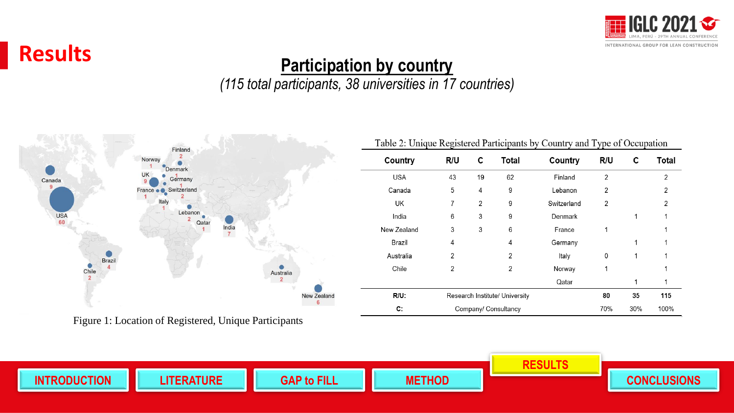

Total

 $\mathbf{2}$ 

 $\overline{2}$ 

2

 $\mathbf 1$ 

 $\mathbf{1}$ 

 $\mathbf 1$ 

 $\mathbf{1}$ 

115

100%

### **Results**

### **Participation by country**

### *(115 total participants, 38 universities in 17 countries)*



Figure 1: Location of Registered, Unique Participants

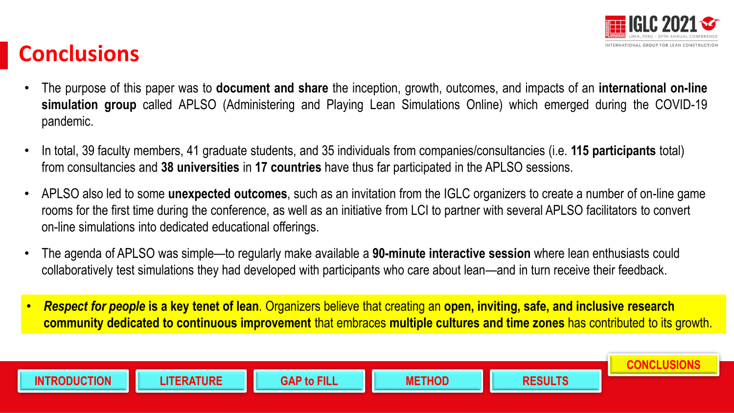

# **Conclusions**

- The purpose of this paper was to **document and share** the inception, growth, outcomes, and impacts of an **international on-line simulation group** called APLSO (Administering and Playing Lean Simulations Online) which emerged during the COVID-19 pandemic.
- In total, 39 faculty members, 41 graduate students, and 35 individuals from companies/consultancies (i.e. **115 participants** total) from consultancies and **38 universities** in **17 countries** have thus far participated in the APLSO sessions.
- APLSO also led to some **unexpected outcomes**, such as an invitation from the IGLC organizers to create a number of on-line game rooms for the first time during the conference, as well as an initiative from LCI to partner with several APLSO facilitators to convert on-line simulations into dedicated educational offerings.
- The agenda of APLSO was simple—to regularly make available a **90-minute interactive session** where lean enthusiasts could collaboratively test simulations they had developed with participants who care about lean—and in turn receive their feedback.
- *Respect for people* **is a key tenet of lean**. Organizers believe that creating an **open, inviting, safe, and inclusive research community dedicated to continuous improvement** that embraces **multiple cultures and time zones** has contributed to its growth.